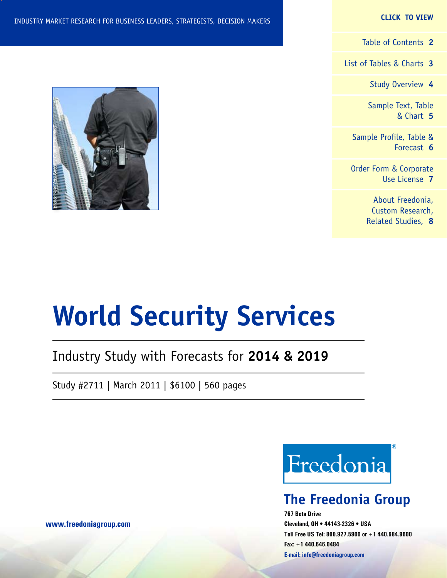#### **CLICK TO VIEW**

[Table of Contents](#page-1-0) **2**

[List of Tables & Charts](#page-2-0) **3**

[Study Overview](#page-3-0) **4**

[Sample Text, Table](#page-4-0) [& Chart](#page-4-0) **5**

[Sample Profile, Table &](#page-5-0) [Forecast](#page-5-0) **6**

[Order Form & Corporate](#page-6-0) [Use License](#page-6-0) **7**

> [About Freedonia,](#page-7-0) [Custom Research,](#page-7-0) [Related Studies,](#page-7-0) **8**



# **World Security Services**

# Industry Study with Forecasts for **2014 & 2019**

Study #2711 | March 2011 | \$6100 | 560 pages



# **The Freedonia Group**

**767 Beta Drive Cleveland, OH • 44143-2326 • USA Toll Free US Tel: 800.927.5900 or +1 440.684.9600 Fax: +1 440.646.0484 E-mail: [info@freedoniagroup.com](mailto:info@freedoniagroup.com)**

**[www.freedoniagroup.com](http://www.freedoniagroup.com/Home.aspx?ReferrerId=FM-Bro)**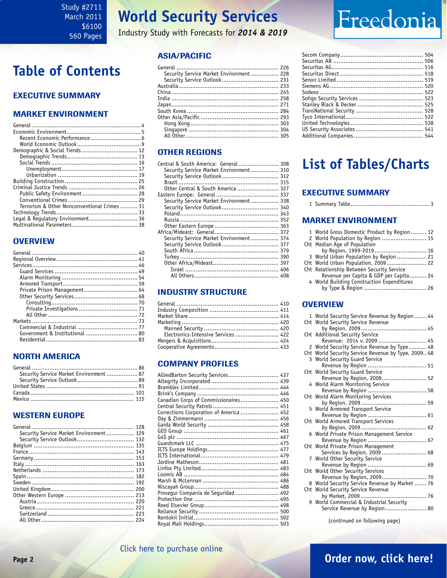<span id="page-1-0"></span>Study #2711 March 2011 \$6100 560 Pages

# **World Security Services**

Industry Study with Forecasts for *2014 & 2019*

## ASIA/PACIFIC

| Security Service Market Environment 228 |  |
|-----------------------------------------|--|
|                                         |  |
|                                         |  |
|                                         |  |
|                                         |  |
|                                         |  |
|                                         |  |
|                                         |  |
|                                         |  |
|                                         |  |
|                                         |  |
|                                         |  |

### OTHER REGIONS

| Central & South America: General  308   |  |
|-----------------------------------------|--|
| Security Service Market Environment 310 |  |
|                                         |  |
|                                         |  |
| Other Central & South America  327      |  |
|                                         |  |
| Security Service Market Environment 338 |  |
|                                         |  |
|                                         |  |
|                                         |  |
|                                         |  |
|                                         |  |
| Security Service Market Environment 374 |  |
| Security Service Outlook 377            |  |
|                                         |  |
|                                         |  |
|                                         |  |
|                                         |  |
|                                         |  |
|                                         |  |

### INDUSTRY STRUCTURE

| Electronics-Intensive Services  422 |  |
|-------------------------------------|--|
|                                     |  |
|                                     |  |
|                                     |  |

### Company Profiles

| AlliedBarton Security Services 437      |  |
|-----------------------------------------|--|
|                                         |  |
|                                         |  |
|                                         |  |
| Canadian Corps of Commissionaires 450   |  |
|                                         |  |
| Corrections Corporation of America  452 |  |
|                                         |  |
|                                         |  |
|                                         |  |
|                                         |  |
|                                         |  |
|                                         |  |
|                                         |  |
|                                         |  |
|                                         |  |
|                                         |  |
|                                         |  |
|                                         |  |
| Prosegur Compania de Seguridad  492     |  |
|                                         |  |
|                                         |  |
|                                         |  |
|                                         |  |
|                                         |  |

# Freedonia

# **List of Tables/Charts**

### Executive Summary

#### Market EnvironmenT

| 1 World Gross Domestic Product by Region  12 |  |
|----------------------------------------------|--|
| 2 World Population by Region  15             |  |
| Cht Median Age of Population                 |  |
| by Region, 1999-2019 16                      |  |
| 3 World Urban Population by Region  21       |  |
| Cht World Urban Population, 2009 22          |  |
| Cht Relationship Between Security Service    |  |
| Revenue per Capita & GDP per Capita 24       |  |
| 4 World Building Construction Expenditures   |  |
|                                              |  |
|                                              |  |

#### **OVERVIEW**

| 1 World Security Service Revenue by Region  44      |
|-----------------------------------------------------|
| Cht World Security Service Revenue                  |
|                                                     |
| Cht Additional Security Service                     |
| Revenue: 2014 v. 2009  45                           |
| 2 World Security Service Revenue by Type  48        |
| Cht World Security Service Revenue by Type, 2009 48 |
| 3 World Security Guard Service                      |
| Revenue by Region  51                               |
| Cht World Security Guard Service                    |
| Revenue by Region, 2009 52                          |
| 4 World Alarm Monitoring Service                    |
|                                                     |
| Cht World Alarm Monitoring Services                 |
| 5 World Armored Transport Service                   |
|                                                     |
| Cht World Armored Transport Services                |
|                                                     |
| 6 World Private Prison Management Service           |
|                                                     |
| Cht World Private Prison Management                 |
| Services by Region, 2009  68                        |
| 7 World Other Security Service                      |
|                                                     |
| Cht World Other Security Services                   |
| Revenue by Region, 2009 70                          |
| 8 World Security Service Revenue by Market  76      |
| Cht World Security Service Revenue                  |
|                                                     |
| 9 World Commercial & Industrial Security            |
| Service Revenue by Region 80                        |
|                                                     |

(continued on following page)

# **Table of Contents**

## Executive Summary

### Market EnvironmenT

| Terrorism & Other Nonconventional Crimes  31 |  |
|----------------------------------------------|--|
|                                              |  |
|                                              |  |
|                                              |  |
|                                              |  |

## **OVERVIEW**

## NORTH AMERICA

| Security Service Market Environment 87 |  |
|----------------------------------------|--|
|                                        |  |
|                                        |  |
|                                        |  |
|                                        |  |

### WESTERN EUROPE

| Security Service Market Environment 129 |  |
|-----------------------------------------|--|
|                                         |  |
|                                         |  |
|                                         |  |
|                                         |  |
|                                         |  |
|                                         |  |
|                                         |  |
|                                         |  |
|                                         |  |
|                                         |  |
|                                         |  |
|                                         |  |
|                                         |  |
|                                         |  |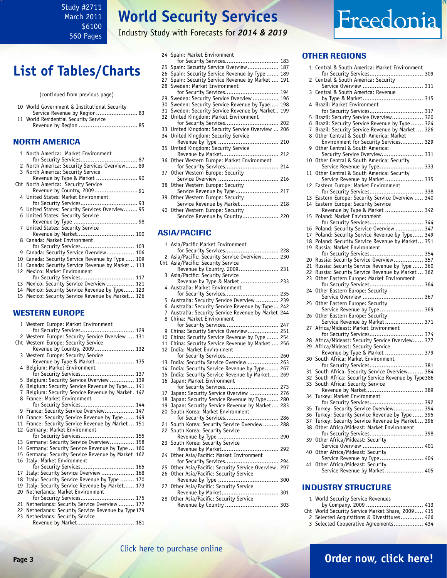<span id="page-2-0"></span>Study #2711 March 2011 \$6100 560 Pages

# **World Security Services**

Industry Study with Forecasts for *2014 & 2019*

# **List of Tables/Charts**

(continued from previous page)

| 10 World Government & Institutional Security |  |
|----------------------------------------------|--|
| Service Revenue by Region 83                 |  |
| 11 World Residential Security Service        |  |
|                                              |  |

### NORTH AMERICA

|    | 1 North America: Market Environment                |
|----|----------------------------------------------------|
|    |                                                    |
|    | 2 North America: Security Services Overview 89     |
|    | 3 North America: Security Service                  |
|    | Revenue by Type & Market  90                       |
|    | Cht North America: Security Service                |
|    | Revenue by Country, 2009 91                        |
|    | 4 United States: Market Environment                |
|    |                                                    |
|    | 5 United States: Security Services Overview 95     |
|    | 6 United States: Security Service                  |
|    |                                                    |
|    | 7 United States: Security Service                  |
|    | Revenue by Market 100                              |
|    | 8 Canada: Market Environment                       |
|    |                                                    |
|    | 9 Canada: Security Service Overview 106            |
| 10 | Canada: Security Service Revenue by Type  109      |
|    | 11 Canada: Security Service Revenue by Market  113 |
|    | 12 Mexico: Market Environment                      |
|    |                                                    |
|    | 13 Mexico: Security Service Overview  121          |
| 14 | Mexico: Security Service Revenue by Type 123       |
|    | 15 Mexico: Security Service Revenue by Market 126  |
|    |                                                    |
|    |                                                    |
|    | <b>WESTERN EUROPE</b>                              |

|                | 1 Western Europe: Market Environment               |
|----------------|----------------------------------------------------|
|                | for Security Services 129                          |
|                | 2 Western Europe: Security Service Overview  131   |
|                | Cht Western Europe: Security Service               |
|                | Revenue by Country, 2009 132                       |
|                | 3 Western Europe: Security Service                 |
|                | Revenue by Type & Market  135                      |
|                | 4 Belgium: Market Environment                      |
|                | for Security Services 137                          |
|                | 5 Belgium: Security Service Overview  139          |
| 6              | Belgium: Security Service Revenue by Type 141      |
| $\overline{7}$ | Belgium: Security Service Revenue by Market. 142   |
| 8              | France: Market Environment                         |
|                | for Security Services 144                          |
|                | 9 France: Security Service Overview 147            |
|                | 10 France: Security Service Revenue by Type  149   |
|                | 11 France: Security Service Revenue by Market  151 |
|                | 12 Germany: Market Environment                     |
|                | for Security Services 155                          |
| 13             | Germany: Security Service Overview 158             |
| 14             | Germany: Security Service Revenue by Type  160     |
| 15             | Germany: Security Service Revenue by Market 162    |
| 16             | Italy: Market Environment                          |
|                | for Security Services 165                          |
| 17             | Italy: Security Service Overview  168              |
| 18             | Italy: Security Service Revenue by Type  170       |
| 19             | Italy: Security Service Revenue by Market 173      |
| 20             | Netherlands: Market Environment                    |
|                | for Security Services 175                          |
|                | 21 Netherlands: Security Service Overview  177     |
| 22             | Netherlands: Security Service Revenue by Type179   |
| 23             | Netherlands: Security Service                      |
|                | Revenue by Market 181                              |
|                | 그는 일이 없었다.                                         |

|  | 24 Spain: Market Environment                      |  |
|--|---------------------------------------------------|--|
|  | for Security Services 183                         |  |
|  | 25 Spain: Security Service Overview 187           |  |
|  | 26 Spain: Security Service Revenue by Type  189   |  |
|  | 27 Spain: Security Service Revenue by Market  191 |  |
|  | 28 Sweden: Market Environment                     |  |
|  | for Security Services 194                         |  |
|  | 29 Sweden: Security Service Overview  196         |  |
|  | 30 Sweden: Security Service Revenue by Type 198   |  |
|  | 31 Sweden: Security Service Revenue by Market 199 |  |
|  | 32 United Kingdom: Market Environment             |  |
|  | for Security Services 202                         |  |
|  | 33 United Kingdom: Security Service Overview  206 |  |
|  | 34 United Kingdom: Security Service               |  |
|  |                                                   |  |
|  | 35 United Kingdom: Security Service               |  |
|  | Revenue by Market 212                             |  |
|  | 36 Other Western Europe: Market Environment       |  |
|  | for Security Services 214                         |  |
|  | 37 Other Western Europe: Security                 |  |
|  |                                                   |  |
|  | 38 Other Western Europe: Security                 |  |
|  | Service Revenue by Type 217                       |  |
|  | 39 Other Western Europe: Security                 |  |
|  | Service Revenue by Market 218                     |  |
|  | 40 Other Western Europe: Security                 |  |
|  | Service Revenue by Country 220                    |  |
|  |                                                   |  |
|  |                                                   |  |

### ASIA/PACIFIC

|    | 1 Asia/Pacific Market Environment                  |  |
|----|----------------------------------------------------|--|
|    | for Security Services 228                          |  |
| 2  | Asia/Pacific: Security Service Overview 230        |  |
|    | Cht Asia/Pacific: Security Service                 |  |
|    | Revenue by Country, 2009 231                       |  |
| 3  | Asia/Pacific: Security Service                     |  |
|    | Revenue by Type & Market  233                      |  |
|    | 4 Australia: Market Environment                    |  |
|    | for Security Services 235                          |  |
| 5  | Australia: Security Service Overview  239          |  |
| 6  | Australia: Security Service Revenue by Type 242    |  |
| 7  | Australia: Security Service Revenue by Market 244  |  |
| 8  | China: Market Environment                          |  |
|    | for Security Services 247                          |  |
| 9  | China: Security Service Overview 251               |  |
| 10 | China: Security Service Revenue by Type  254       |  |
| 11 | China: Security Service Revenue by Market  256     |  |
| 12 | India: Market Environment                          |  |
|    | for Security Services 260                          |  |
| 13 | India: Security Service Overview  263              |  |
| 14 | India: Security Service Revenue by Type 267        |  |
| 15 | India: Security Service Revenue by Market 269      |  |
| 16 | Japan: Market Environment                          |  |
|    | for Security Services 273                          |  |
| 17 | Japan: Security Service Overview  276              |  |
| 18 | Japan: Security Service Revenue by Type 280        |  |
| 19 | Japan: Security Service Revenue by Market 283      |  |
| 20 | South Korea: Market Environment                    |  |
|    | for Security Services 286                          |  |
| 21 | South Korea: Security Service Overview 288         |  |
| 22 | South Korea: Security Service                      |  |
|    |                                                    |  |
| 23 | South Korea: Security Service                      |  |
|    | Revenue by Market 292                              |  |
|    | 24 Other Asia/Pacific: Market Environment          |  |
|    | for Security Services 294                          |  |
| 25 | Other Asia/Pacific: Security Service Overview. 297 |  |
| 26 | Other Asia/Pacific: Security Service               |  |
|    |                                                    |  |
| 27 | Other Asia/Pacific: Security Service               |  |
|    | Revenue by Market 301                              |  |
| 28 | Other Asia/Pacific: Security Service               |  |
|    | Revenue by Country  303                            |  |
|    |                                                    |  |

#### OTHER REGIONS

Freedonia

| 1  | Central & South America: Market Environment                                    |  |
|----|--------------------------------------------------------------------------------|--|
| 2  | for Security Services 309<br>Central & South America: Security                 |  |
| 3  | Central & South America: Revenue                                               |  |
| 4  | Brazil: Market Environment                                                     |  |
|    | for Security Services 317                                                      |  |
| 5  | Brazil: Security Service Overview 320                                          |  |
| 6  | Brazil: Security Service Revenue by Type  324                                  |  |
| 7  | Brazil: Security Service Revenue by Market  326                                |  |
| 8  | Other Central & South America: Market<br>Environment for Security Services 329 |  |
| 9  | Other Central & South America:                                                 |  |
|    | Security Service Overview 331                                                  |  |
|    | Other Central & South America: Security                                        |  |
| 10 |                                                                                |  |
|    | Service Revenue by Type  333                                                   |  |
| 11 | Other Central & South America: Security                                        |  |
|    | Service Revenue by Market 335                                                  |  |
| 12 | Eastern Europe: Market Environment                                             |  |
|    | for Security Services 338                                                      |  |
| 13 | Eastern Europe: Security Service Overview  340                                 |  |
| 14 | Eastern Europe: Security Service                                               |  |
|    | Revenue by Type & Market  342                                                  |  |
|    |                                                                                |  |
| 15 | Poland: Market Environment                                                     |  |
|    | for Security Services 344                                                      |  |
| 16 | Poland: Security Service Overview  347                                         |  |
| 17 | Poland: Security Service Revenue by Type 349                                   |  |
| 18 | Poland: Security Service Revenue by Market 351                                 |  |
| 19 | Russia: Market Environment                                                     |  |
|    | for Security Services 354                                                      |  |
| 20 | Russia: Security Service Overview 357                                          |  |
| 21 | Russia: Security Service Revenue by Type  360                                  |  |
| 22 | Russia: Security Service Revenue by Market  362                                |  |
| 23 |                                                                                |  |
|    | Other Eastern Europe: Market Environment                                       |  |
|    | for Security Services 364                                                      |  |
| 24 | Other Eastern Europe: Security                                                 |  |
| 25 | Other Eastern Europe: Security                                                 |  |
|    | Service Revenue by Type  369                                                   |  |
| 26 | Other Eastern Europe: Security                                                 |  |
|    |                                                                                |  |
|    | Service Revenue by Market 371                                                  |  |
| 27 | Africa/Mideast: Market Environment                                             |  |
|    | for Security Services 374                                                      |  |
| 28 | Africa/Mideast: Security Service Overview 377                                  |  |
| 29 | Africa/Mideast: Security Service                                               |  |
|    | Revenue by Type & Market  379                                                  |  |
| 30 | South Africa: Market Environment                                               |  |
|    | for Security Services 381                                                      |  |
| 31 | South Africa: Security Service Overview 384                                    |  |
| 32 | South Africa: Security Service Revenue by Type386                              |  |
| 33 | South Africa: Security Service                                                 |  |
|    | Revenue by Market 389                                                          |  |
| 34 | Turkey: Market Environment                                                     |  |
|    | for Security Services 392                                                      |  |
|    |                                                                                |  |
| 35 | Turkey: Security Service Overview 394                                          |  |
| 36 | Turkey: Security Service Revenue by Type  395                                  |  |
| 37 | Turkey: Security Service Revenue by Market  396                                |  |
| 38 | Other Africa/Mideast: Market Environment                                       |  |
|    | for Security Services 398                                                      |  |
| 39 | Other Africa/Mideast: Security                                                 |  |
|    |                                                                                |  |
| 40 | Other Africa/Mideast: Security                                                 |  |
|    | Service Revenue by Type  404                                                   |  |
| 41 | Other Africa/Mideast: Security                                                 |  |
|    | Service Revenue by Market 405                                                  |  |
|    |                                                                                |  |

#### INDUSTRY STRUCTURE

|  |  |  |  | 1 World Security Service Revenues |
|--|--|--|--|-----------------------------------|
|--|--|--|--|-----------------------------------|

- by Company, 2009 ................................. 413
- Cht World Security Service Market Share, 2009..... 415
- 2 Selected Acquisitions & Divestitures............. 426
- 3 Selected Cooperative Agreements................. 434

# **Page 3 [Order now, click here!](#page-6-0)**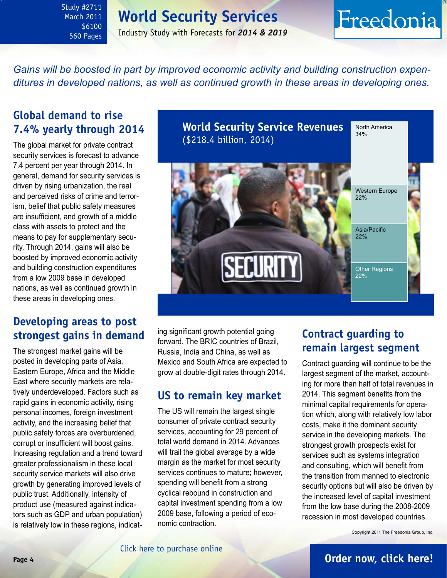# **World Security Services**

<span id="page-3-0"></span>Study #2711 March 2011 \$6100 560 Pages

## Industry Study with Forecasts for *2014 & 2019*

# Freedonia

*Gains will be boosted in part by improved economic activity and building construction expenditures in developed nations, as well as continued growth in these areas in developing ones.* 

# **Global demand to rise 7.4% yearly through 2014**

The global market for private contract security services is forecast to advance 7.4 percent per year through 2014. In general, demand for security services is driven by rising urbanization, the real and perceived risks of crime and terrorism, belief that public safety measures are insufficient, and growth of a middle class with assets to protect and the means to pay for supplementary security. Through 2014, gains will also be boosted by improved economic activity and building construction expenditures from a low 2009 base in developed nations, as well as continued growth in these areas in developing ones.

# **Developing areas to post strongest gains in demand**

The strongest market gains will be posted in developing parts of Asia, Eastern Europe, Africa and the Middle East where security markets are relatively underdeveloped. Factors such as rapid gains in economic activity, rising personal incomes, foreign investment activity, and the increasing belief that public safety forces are overburdened, corrupt or insufficient will boost gains. Increasing regulation and a trend toward greater professionalism in these local security service markets will also drive growth by generating improved levels of public trust. Additionally, intensity of product use (measured against indicators such as GDP and urban population) is relatively low in these regions, indicat**World Security Service Revenues** (\$218.4 billion, 2014) North America 34% Other Regions 22% Western Europe 22% Asia/Pacific 22%

ing significant growth potential going forward. The BRIC countries of Brazil, Russia, India and China, as well as Mexico and South Africa are expected to grow at double-digit rates through 2014.

# **US to remain key market**

The US will remain the largest single consumer of private contract security services, accounting for 29 percent of total world demand in 2014. Advances will trail the global average by a wide margin as the market for most security services continues to mature; however, spending will benefit from a strong cyclical rebound in construction and capital investment spending from a low 2009 base, following a period of economic contraction.

# **Contract guarding to remain largest segment**

Contract guarding will continue to be the largest segment of the market, accounting for more than half of total revenues in 2014. This segment benefits from the minimal capital requirements for operation which, along with relatively low labor costs, make it the dominant security service in the developing markets. The strongest growth prospects exist for services such as systems integration and consulting, which will benefit from the transition from manned to electronic security options but will also be driven by the increased level of capital investment from the low base during the 2008-2009 recession in most developed countries.

Copyright 2011 The Freedonia Group, Inc.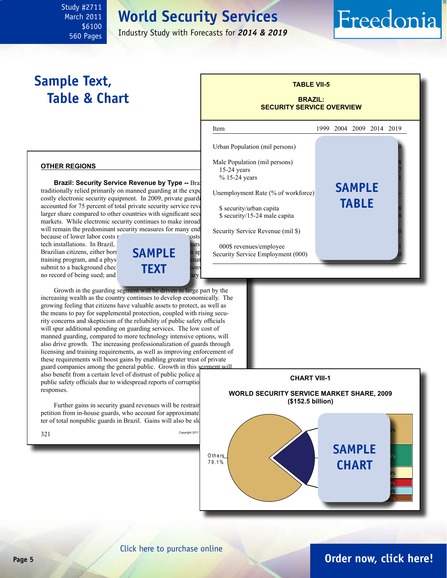# **World Security Services**

Industry Study with Forecasts for *2014 & 2019*

l

# **Sample Text, Table & Chart**

<span id="page-4-0"></span>Study #2711 March 2011 \$6100 560 Pages

## **TABLE VII-5 BRAZIL:**

Freedonia

# **SECURITY SERVICE OVERVIEW**

#### **other regions**

**Brazil: Security Service Revenue by Type -- Braz** traditionally relied primarily on manned guarding at the expe costly electronic security equipment. In 2009, private guarding accounted for 75 percent of total private security service reve larger share compared to other countries with significant security markets. While electronic security continues to make inroad will remain the predominant security measures for many end-

because of lower labor costs relative to the high costs of high capital costs of  $\sim$ tech installations. In Brazil, Brazilian citizens, either born training program, and a physical and physical examines  $\frac{1}{2}$ submit to a background chec no record of being sued; and



Growth in the guarding segment will be driven in large part by the increasing wealth as the country continues to develop economically. The growing feeling that citizens have valuable assets to protect, as well as the means to pay for supplemental protection, coupled with rising security concerns and skepticism of the reliability of public safety officials will spur additional spending on guarding services. The low cost of manned guarding, compared to more technology intensive options, will also drive growth. The increasing professionalization of guards through licensing and training requirements, as well as improving enforcement of these requirements will boost gains by enabling greater trust of private guard companies among the general public. Growth in this segment will also benefit from a certain level of distrust of public police a public safety officials due to widespread reports of corruption responses.

Further gains in security guard revenues will be restrain petition from in-house guards, who account for approximate ter of total nonpublic guards in Brazil. Gains will also be slo





### [Click here to purchase online](http://www.freedoniagroup.com/DocumentDetails.aspx?Referrerid=FM-Bro&StudyID=2711)

# **Page 5 [Order now, click here!](#page-6-0)**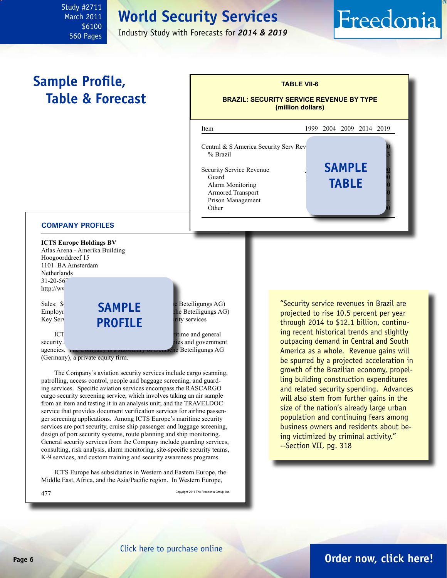# **World Security Services**

Industry Study with Forecasts for *2014 & 2019*

# Freedonia

# **Sample Profile, Table & Forecast**

<span id="page-5-0"></span>Study #2711 March 2011 \$6100 560 Pages



#### **COMPANY PROFILES**

**ICTS Europe Holdings BV** Atlas Arena - Amerika Building Hoogoorddreef 15 1101 BA Amsterdam Netherlands 31-20-567 http://wv Sales:  $\$\blacksquare$   $\blacksquare$   $\blacksquare$   $\blacksquare$   $\blacksquare$   $\blacksquare$   $\blacksquare$   $\blacksquare$   $\blacksquare$   $\blacksquare$   $\blacksquare$   $\blacksquare$   $\blacksquare$   $\blacksquare$   $\blacksquare$   $\blacksquare$   $\blacksquare$   $\blacksquare$   $\blacksquare$   $\blacksquare$   $\blacksquare$   $\blacksquare$   $\blacksquare$   $\blacksquare$   $\blacksquare$   $\blacksquare$   $\blacksquare$   $\blacksquare$   $\blacksquare$   $\blacksquare$   $\bl$ 

Employr **CHILLE** the Beteiligungs AG)<br> **Example Beteiligungs AG)**<br> **Example Beteiligungs AG)** Key Services<br>**PROFILE** and general services **sample**

 $\Gamma$ ICT $\Gamma$  Europe Holdings provides aviation, married and general  $\Gamma$ security security services at a services and government agencies. The Company is a subsidiary of Deutsche Beteiligungs AG

(Germany), a private equity firm.

The Company's aviation security services include cargo scanning, patrolling, access control, people and baggage screening, and guarding services. Specific aviation services encompass the RASCARGO cargo security screening service, which involves taking an air sample from an item and testing it in an analysis unit; and the TRAVELDOC service that provides document verification services for airline passenger screening applications. Among ICTS Europe's maritime security services are port security, cruise ship passenger and luggage screening, design of port security systems, route planning and ship monitoring. General security services from the Company include guarding services, consulting, risk analysis, alarm monitoring, site-specific security teams, K-9 services, and custom training and security awareness programs.

ICTS Europe has subsidiaries in Western and Eastern Europe, the Middle East, Africa, and the Asia/Pacific region. In Western Europe,

477 Copyright 2011 The Freedonia Group, Inc.

"Security service revenues in Brazil are projected to rise 10.5 percent per year through 2014 to \$12.1 billion, continuing recent historical trends and slightly outpacing demand in Central and South America as a whole. Revenue gains will be spurred by a projected acceleration in growth of the Brazilian economy, propelling building construction expenditures and related security spending. Advances will also stem from further gains in the size of the nation's already large urban population and continuing fears among business owners and residents about being victimized by criminal activity." --Section VII, pg. 318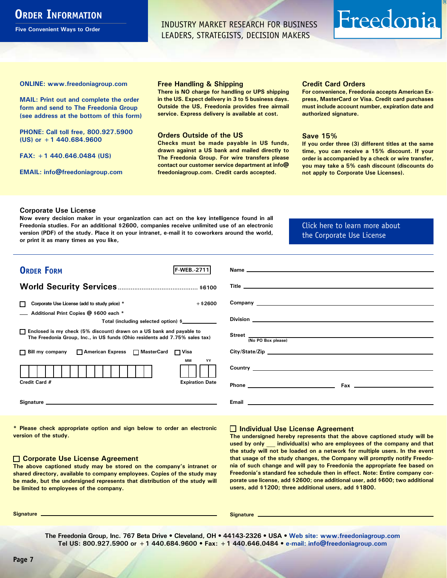# <span id="page-6-0"></span>**ORDER INFORMATION**

**Five Convenient Ways to Order**

INDUSTRY MARKET RESEARCH FOR BUSINESS LEADERS, STRATEGISTS, DECISION MAKERS

# Freedonia

**ONLINE: [www.freedoniagroup.com](http://www.freedoniagroup.com/DocumentDetails.aspx?Referrerid=FM-Bro&StudyID=2711)**

**MAIL: Print out and complete the order form and send to The Freedonia Group (see address at the bottom of this form)**

**PHONE: Call toll free, 800.927.5900 (US) or +1 440.684.9600**

**FAX: +1 440.646.0484 (US)**

**EMAIL: [info@freedoniagroup.com](mailto:info@freedoniagroup.com)**

#### **Free Handling & Shipping**

**There is NO charge for handling or UPS shipping in the US. Expect delivery in 3 to 5 business days. Outside the US, Freedonia provides free airmail service. Express delivery is available at cost.**

#### **Orders Outside of the US**

**Checks must be made payable in US funds, drawn against a US bank and mailed directly to The Freedonia Group. For wire transfers please contact our customer service department at info@ freedoniagroup.com. Credit cards accepted.**

#### **Credit Card Orders**

**For convenience, Freedonia accepts American Express, MasterCard or Visa. Credit card purchases must include account number, expiration date and authorized signature.**

#### **Save 15%**

**If you order three (3) different titles at the same time, you can receive a 15% discount. If your order is accompanied by a check or wire transfer, you may take a 5% cash discount (discounts do not apply to Corporate Use Licenses).**

#### **Corporate Use License**

**Now every decision maker in your organization can act on the key intelligence found in all Freedonia studies. For an additional \$2600, companies receive unlimited use of an electronic version (PDF) of the study. Place it on your intranet, e-mail it to coworkers around the world, or print it as many times as you like,** 

### [Click here to learn more about](http://www.freedoniagroup.com/pdf/FreedoniaCULBro.pdf)  [the Corporate Use License](http://www.freedoniagroup.com/pdf/FreedoniaCULBro.pdf)

| <b>ORDER FORM</b><br><b>F-WEB. 2711</b>                                                                                                               | Name experience and the second contract of the second contract of the second contract of the second contract of the second contract of the second contract of the second contract of the second contract of the second contrac      |
|-------------------------------------------------------------------------------------------------------------------------------------------------------|-------------------------------------------------------------------------------------------------------------------------------------------------------------------------------------------------------------------------------------|
|                                                                                                                                                       |                                                                                                                                                                                                                                     |
|                                                                                                                                                       |                                                                                                                                                                                                                                     |
|                                                                                                                                                       |                                                                                                                                                                                                                                     |
| $+$ \$2600<br>Corporate Use License (add to study price) *                                                                                            | Company <u>example</u> and the company of the company of the company of the company of the company of the company of the company of the company of the company of the company of the company of the company of the company of the c |
| Additional Print Copies @ \$600 each *                                                                                                                |                                                                                                                                                                                                                                     |
| Total (including selected option) \$___________                                                                                                       |                                                                                                                                                                                                                                     |
| □ Enclosed is my check (5% discount) drawn on a US bank and payable to<br>The Freedonia Group, Inc., in US funds (Ohio residents add 7.75% sales tax) | Street (No PO Box please)                                                                                                                                                                                                           |
|                                                                                                                                                       |                                                                                                                                                                                                                                     |
| □ Bill my company □ American Express □ MasterCard □ Visa                                                                                              | City/State/Zip experience and the contract of the contract of the contract of the contract of the contract of the contract of the contract of the contract of the contract of the contract of the contract of the contract of       |
| МM<br>YY                                                                                                                                              |                                                                                                                                                                                                                                     |
|                                                                                                                                                       |                                                                                                                                                                                                                                     |
| Credit Card #<br><b>Expiration Date</b>                                                                                                               |                                                                                                                                                                                                                                     |
|                                                                                                                                                       | Fax $\overline{\phantom{a}}$                                                                                                                                                                                                        |
|                                                                                                                                                       |                                                                                                                                                                                                                                     |
|                                                                                                                                                       |                                                                                                                                                                                                                                     |

**\* Please check appropriate option and sign below to order an electronic version of the study.**

#### **Corporate Use License Agreement**

**The above captioned study may be stored on the company's intranet or shared directory, available to company employees. Copies of the study may be made, but the undersigned represents that distribution of the study will be limited to employees of the company.**

#### **Individual Use License Agreement**

**The undersigned hereby represents that the above captioned study will be used by only \_\_\_ individual(s) who are employees of the company and that the study will not be loaded on a network for multiple users. In the event that usage of the study changes, the Company will promptly notify Freedonia of such change and will pay to Freedonia the appropriate fee based on Freedonia's standard fee schedule then in effect. Note: Entire company corporate use license, add \$2600; one additional user, add \$600; two additional users, add \$1200; three additional users, add \$1800.**

**Signature Signature**

**The Freedonia Group, Inc. 767 Beta Drive • Cleveland, OH • 44143-2326 • USA • [Web site: www.freedoniagroup.com](http://www.freedoniagroup.com/Home.aspx?ReferrerId=FM-Bro) Tel US: 800.927.5900 or +1 440.684.9600 • Fax: +1 440.646.0484 • [e-mail: info@freedoniagroup.com](mailto:info@freedoniagroup.com)**